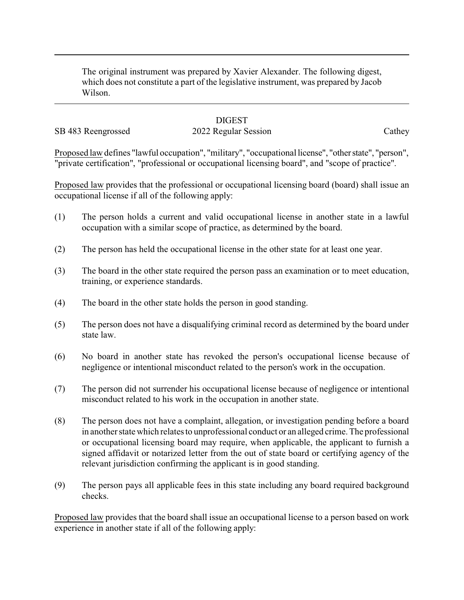The original instrument was prepared by Xavier Alexander. The following digest, which does not constitute a part of the legislative instrument, was prepared by Jacob Wilson.

## **DIGEST**

SB 483 Reengrossed 2022 Regular Session Cathey

Proposed law defines "lawful occupation", "military", "occupational license", "other state", "person", "private certification", "professional or occupational licensing board", and "scope of practice".

Proposed law provides that the professional or occupational licensing board (board) shall issue an occupational license if all of the following apply:

- (1) The person holds a current and valid occupational license in another state in a lawful occupation with a similar scope of practice, as determined by the board.
- (2) The person has held the occupational license in the other state for at least one year.
- (3) The board in the other state required the person pass an examination or to meet education, training, or experience standards.
- (4) The board in the other state holds the person in good standing.
- (5) The person does not have a disqualifying criminal record as determined by the board under state law.
- (6) No board in another state has revoked the person's occupational license because of negligence or intentional misconduct related to the person's work in the occupation.
- (7) The person did not surrender his occupational license because of negligence or intentional misconduct related to his work in the occupation in another state.
- (8) The person does not have a complaint, allegation, or investigation pending before a board in another state which relates to unprofessional conduct or an alleged crime. The professional or occupational licensing board may require, when applicable, the applicant to furnish a signed affidavit or notarized letter from the out of state board or certifying agency of the relevant jurisdiction confirming the applicant is in good standing.
- (9) The person pays all applicable fees in this state including any board required background checks.

Proposed law provides that the board shall issue an occupational license to a person based on work experience in another state if all of the following apply: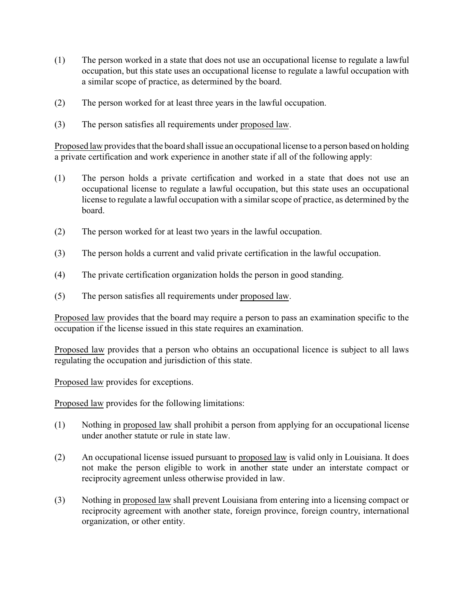- (1) The person worked in a state that does not use an occupational license to regulate a lawful occupation, but this state uses an occupational license to regulate a lawful occupation with a similar scope of practice, as determined by the board.
- (2) The person worked for at least three years in the lawful occupation.
- (3) The person satisfies all requirements under proposed law.

Proposed law provides that the board shall issue an occupational license to a person based on holding a private certification and work experience in another state if all of the following apply:

- (1) The person holds a private certification and worked in a state that does not use an occupational license to regulate a lawful occupation, but this state uses an occupational license to regulate a lawful occupation with a similar scope of practice, as determined by the board.
- (2) The person worked for at least two years in the lawful occupation.
- (3) The person holds a current and valid private certification in the lawful occupation.
- (4) The private certification organization holds the person in good standing.
- (5) The person satisfies all requirements under proposed law.

Proposed law provides that the board may require a person to pass an examination specific to the occupation if the license issued in this state requires an examination.

Proposed law provides that a person who obtains an occupational licence is subject to all laws regulating the occupation and jurisdiction of this state.

Proposed law provides for exceptions.

Proposed law provides for the following limitations:

- (1) Nothing in proposed law shall prohibit a person from applying for an occupational license under another statute or rule in state law.
- (2) An occupational license issued pursuant to proposed law is valid only in Louisiana. It does not make the person eligible to work in another state under an interstate compact or reciprocity agreement unless otherwise provided in law.
- (3) Nothing in proposed law shall prevent Louisiana from entering into a licensing compact or reciprocity agreement with another state, foreign province, foreign country, international organization, or other entity.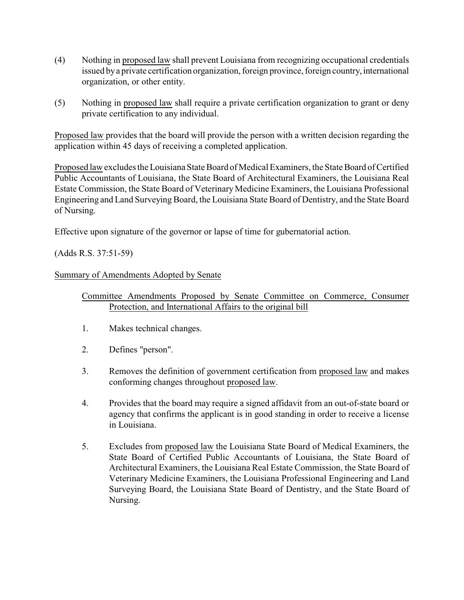- (4) Nothing in proposed law shall prevent Louisiana from recognizing occupational credentials issued bya private certification organization, foreign province, foreign country, international organization, or other entity.
- (5) Nothing in proposed law shall require a private certification organization to grant or deny private certification to any individual.

Proposed law provides that the board will provide the person with a written decision regarding the application within 45 days of receiving a completed application.

Proposed law excludes the Louisiana State Board of Medical Examiners, the State Board of Certified Public Accountants of Louisiana, the State Board of Architectural Examiners, the Louisiana Real Estate Commission, the State Board of Veterinary Medicine Examiners, the Louisiana Professional Engineering and Land Surveying Board, the Louisiana State Board of Dentistry, and the State Board of Nursing.

Effective upon signature of the governor or lapse of time for gubernatorial action.

(Adds R.S. 37:51-59)

## Summary of Amendments Adopted by Senate

- Committee Amendments Proposed by Senate Committee on Commerce, Consumer Protection, and International Affairs to the original bill
- 1. Makes technical changes.
- 2. Defines "person".
- 3. Removes the definition of government certification from proposed law and makes conforming changes throughout proposed law.
- 4. Provides that the board may require a signed affidavit from an out-of-state board or agency that confirms the applicant is in good standing in order to receive a license in Louisiana.
- 5. Excludes from proposed law the Louisiana State Board of Medical Examiners, the State Board of Certified Public Accountants of Louisiana, the State Board of Architectural Examiners, the Louisiana Real Estate Commission, the State Board of Veterinary Medicine Examiners, the Louisiana Professional Engineering and Land Surveying Board, the Louisiana State Board of Dentistry, and the State Board of Nursing.